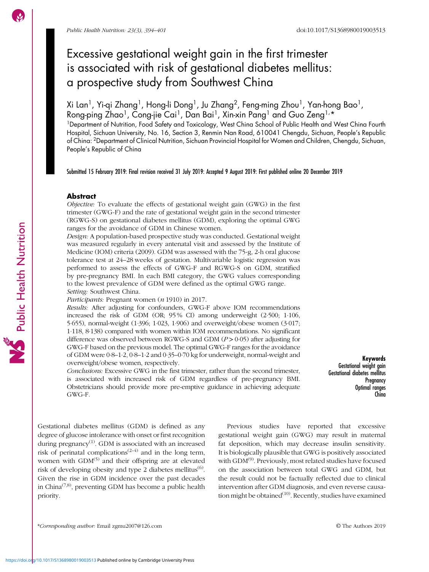Public Health Nutrition

# Excessive gestational weight gain in the first trimester is associated with risk of gestational diabetes mellitus: a prospective study from Southwest China

Xi Lan<sup>1</sup>, Yi-qi Zhang<sup>1</sup>, Hong-li Dong<sup>1</sup>, Ju Zhang<sup>2</sup>, Feng-ming Zhou<sup>1</sup>, Yan-hong Bao<sup>1</sup>, Rong-ping Zhao<sup>1</sup>, Cong-jie Cai<sup>1</sup>, Dan Bai<sup>1</sup>, Xin-xin Pang<sup>1</sup> and Guo Zeng<sup>1,</sup>\*

1Department of Nutrition, Food Safety and Toxicology, West China School of Public Health and West China Fourth Hospital, Sichuan University, No. 16, Section 3, Renmin Nan Road, 610041 Chengdu, Sichuan, People's Republic of China: 2Department of Clinical Nutrition, Sichuan Provincial Hospital for Women and Children, Chengdu, Sichuan, People's Republic of China

Submitted 15 February 2019: Final revision received 31 July 2019: Accepted 9 August 2019: First published online 20 December 2019

## Abstract

Objective: To evaluate the effects of gestational weight gain (GWG) in the first trimester (GWG-F) and the rate of gestational weight gain in the second trimester (RGWG-S) on gestational diabetes mellitus (GDM), exploring the optimal GWG ranges for the avoidance of GDM in Chinese women.

Design: A population-based prospective study was conducted. Gestational weight was measured regularly in every antenatal visit and assessed by the Institute of Medicine (IOM) criteria (2009). GDM was assessed with the 75-g, 2-h oral glucose tolerance test at 24–28 weeks of gestation. Multivariable logistic regression was performed to assess the effects of GWG-F and RGWG-S on GDM, stratified by pre-pregnancy BMI. In each BMI category, the GWG values corresponding to the lowest prevalence of GDM were defined as the optimal GWG range. Setting: Southwest China.

Participants: Pregnant women  $(n 1910)$  in 2017.

Results: After adjusting for confounders, GWG-F above IOM recommendations increased the risk of GDM (OR; 95 % CI) among underweight (2·500; 1·106, 5·655), normal-weight (1·396; 1·023, 1·906) and overweight/obese women (3·017; 1·118, 8·138) compared with women within IOM recommendations. No significant difference was observed between RGWG-S and GDM  $(P > 0.05)$  after adjusting for GWG-F based on the previous model. The optimal GWG-F ranges for the avoidance of GDM were 0·8–1·2, 0·8–1·2 and 0·35–0·70 kg for underweight, normal-weight and overweight/obese women, respectively.

Conclusions: Excessive GWG in the first trimester, rather than the second trimester, is associated with increased risk of GDM regardless of pre-pregnancy BMI. Obstetricians should provide more pre-emptive guidance in achieving adequate GWG-F.

Keywords Gestational weight gain Gestational diabetes mellitus **Pregnancy** Optimal ranges China

Gestational diabetes mellitus (GDM) is defined as any degree of glucose intolerance with onset or first recognition during pregnancy<sup>(1)</sup>. GDM is associated with an increased risk of perinatal complications<sup> $(2-4)$ </sup> and in the long term, women with GDM<sup>(5)</sup> and their offspring are at elevated risk of developing obesity and type 2 diabetes mellitus<sup>(6)</sup>. Given the rise in GDM incidence over the past decades in China<sup> $(7,8)$ </sup>, preventing GDM has become a public health priority.

Previous studies have reported that excessive gestational weight gain (GWG) may result in maternal fat deposition, which may decrease insulin sensitivity. It is biologically plausible that GWG is positively associated with GDM<sup>(9)</sup>. Previously, most related studies have focused on the association between total GWG and GDM, but the result could not be factually reflected due to clinical intervention after GDM diagnosis, and even reverse causation might be obtained<sup>(10)</sup>. Recently, studies have examined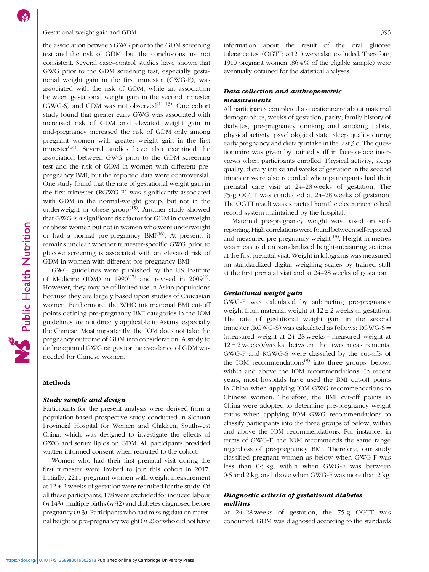### Gestational weight gain and GDM 395

the association between GWG prior to the GDM screening test and the risk of GDM, but the conclusions are not consistent. Several case–control studies have shown that GWG prior to the GDM screening test, especially gestational weight gain in the first trimester (GWG-F), was associated with the risk of GDM, while an association between gestational weight gain in the second trimester  $(GWG-S)$  and GDM was not observed $^{(11-13)}$ . One cohort study found that greater early GWG was associated with increased risk of GDM and elevated weight gain in mid-pregnancy increased the risk of GDM only among pregnant women with greater weight gain in the first trimester $(14)$ . Several studies have also examined the association between GWG prior to the GDM screening test and the risk of GDM in women with different prepregnancy BMI, but the reported data were controversial. One study found that the rate of gestational weight gain in the first trimester (RGWG-F) was significantly associated with GDM in the normal-weight group, but not in the underweight or obese group<sup> $(15)$ </sup>. Another study showed that GWG is a significant risk factor for GDM in overweight or obese women but not in women who were underweight or had a normal pre-pregnancy  $BMI^{(16)}$ . At present, it remains unclear whether trimester-specific GWG prior to glucose screening is associated with an elevated risk of GDM in women with different pre-pregnancy BMI.

GWG guidelines were published by the US Institute of Medicine (IOM) in  $1990^{(17)}$  and revised in  $2009^{(9)}$ . However, they may be of limited use in Asian populations because they are largely based upon studies of Caucasian women. Furthermore, the WHO international BMI cut-off points defining pre-pregnancy BMI categories in the IOM guidelines are not directly applicable to Asians, especially the Chinese. Most importantly, the IOM does not take the pregnancy outcome of GDM into consideration. A study to define optimal GWG ranges for the avoidance of GDM was needed for Chinese women.

#### Methods

#### Study sample and design

Participants for the present analysis were derived from a population-based prospective study conducted in Sichuan Provincial Hospital for Women and Children, Southwest China, which was designed to investigate the effects of GWG and serum lipids on GDM. All participants provided written informed consent when recruited to the cohort.

Women who had their first prenatal visit during the first trimester were invited to join this cohort in 2017. Initially, 2211 pregnant women with weight measurement at 12 ± 2 weeks of gestation were recruited for the study. Of all these participants, 178 were excluded for induced labour  $(n 143)$ , multiple births  $(n 32)$  and diabetes diagnosed before pregnancy  $(n 3)$ . Participants who had missing data on maternal height or pre-pregnancy weight  $(n 2)$  or who did not have information about the result of the oral glucose tolerance test (OGTT;  $n$  121) were also excluded. Therefore, 1910 pregnant women (86·4 % of the eligible sample) were eventually obtained for the statistical analyses.

# Data collection and anthropometric measurements

All participants completed a questionnaire about maternal demographics, weeks of gestation, parity, family history of diabetes, pre-pregnancy drinking and smoking habits, physical activity, psychological state, sleep quality during early pregnancy and dietary intake in the last 3 d. The questionnaire was given by trained staff in face-to-face interviews when participants enrolled. Physical activity, sleep quality, dietary intake and weeks of gestation in the second trimester were also recorded when participants had their prenatal care visit at 24–28 weeks of gestation. The 75-g OGTT was conducted at 24–28 weeks of gestation. The OGTT result was extracted from the electronic medical record system maintained by the hospital.

Maternal pre-pregnancy weight was based on selfreporting. High correlations were found between self-reported and measured pre-pregnancy weight $(18)$ . Height in metres was measured on standardized height-measuring stations at the first prenatal visit. Weight in kilograms was measured on standardized digital weighing scales by trained staff at the first prenatal visit and at 24–28 weeks of gestation.

#### Gestational weight gain

GWG-F was calculated by subtracting pre-pregnancy weight from maternal weight at  $12 \pm 2$  weeks of gestation. The rate of gestational weight gain in the second trimester (RGWG-S) was calculated as follows:  $RGWG-S =$ (measured weight at 24–28 weeks − measured weight at  $12 \pm 2$  weeks)/weeks between the two measurements. GWG-F and RGWG-S were classified by the cut-offs of the IOM recommendations $(9)$  into three groups: below, within and above the IOM recommendations. In recent years, most hospitals have used the BMI cut-off points in China when applying IOM GWG recommendations to Chinese women. Therefore, the BMI cut-off points in China were adopted to determine pre-pregnancy weight status when applying IOM GWG recommendations to classify participants into the three groups of below, within and above the IOM recommendations. For instance, in terms of GWG-F, the IOM recommends the same range regardless of pre-pregnancy BMI. Therefore, our study classified pregnant women as below when GWG-F was less than 0·5 kg, within when GWG-F was between 0·5 and 2 kg, and above when GWG-F was more than 2 kg.

# Diagnostic criteria of gestational diabetes mellitus

At 24–28 weeks of gestation, the 75-g OGTT was conducted. GDM was diagnosed according to the standards

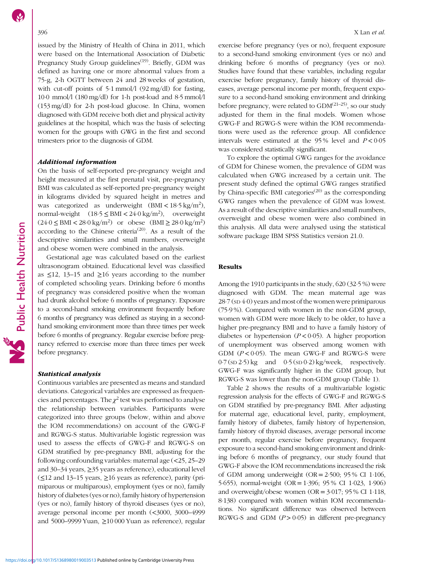issued by the Ministry of Health of China in 2011, which were based on the International Association of Diabetic Pregnancy Study Group guidelines<sup> $(19)$ </sup>. Briefly, GDM was defined as having one or more abnormal values from a 75-g, 2-h OGTT between 24 and 28 weeks of gestation, with cut-off points of 5·1 mmol/l (92 mg/dl) for fasting, 10·0 mmol/l (180 mg/dl) for 1-h post-load and 8·5 mmol/l (153 mg/dl) for 2-h post-load glucose. In China, women diagnosed with GDM receive both diet and physical activity guidelines at the hospital, which was the basis of selecting women for the groups with GWG in the first and second trimesters prior to the diagnosis of GDM.

# Additional information

On the basis of self-reported pre-pregnancy weight and height measured at the first prenatal visit, pre-pregnancy BMI was calculated as self-reported pre-pregnancy weight in kilograms divided by squared height in metres and was categorized as underweight  $(BMI < 18.5 \text{ kg/m}^2)$ , normal-weight  $(18.5 \leq BMI < 24.0 \text{ kg/m}^2)$ , overweight  $(24.0 \leq BMI < 28.0 \text{ kg/m}^2)$  or obese  $(BMI \geq 28.0 \text{ kg/m}^2)$ according to the Chinese criteria<sup>(20)</sup>. As a result of the descriptive similarities and small numbers, overweight and obese women were combined in the analysis.

Gestational age was calculated based on the earliest ultrasonogram obtained. Educational level was classified as  $\leq$ 12, 13–15 and  $\geq$ 16 years according to the number of completed schooling years. Drinking before 6 months of pregnancy was considered positive when the woman had drunk alcohol before 6 months of pregnancy. Exposure to a second-hand smoking environment frequently before 6 months of pregnancy was defined as staying in a secondhand smoking environment more than three times per week before 6 months of pregnancy. Regular exercise before pregnancy referred to exercise more than three times per week before pregnancy.

## Statistical analysis

Continuous variables are presented as means and standard deviations. Categorical variables are expressed as frequencies and percentages. The  $\chi^2$  test was performed to analyse the relationship between variables. Participants were categorized into three groups (below, within and above the IOM recommendations) on account of the GWG-F and RGWG-S status. Multivariable logistic regression was used to assess the effects of GWG-F and RGWG-S on GDM stratified by pre-pregnancy BMI, adjusting for the following confounding variables: maternal age (<25, 25–29 and 30–34 years, ≥35 years as reference), educational level (≤12 and 13–15 years, ≥16 years as reference), parity (primiparous or multiparous), employment (yes or no), family history of diabetes (yes or no), family history of hypertension (yes or no), family history of thyroid diseases (yes or no), average personal income per month (<3000, 3000–4999 and 5000–9999 Yuan, ≥10 000 Yuan as reference), regular

exercise before pregnancy (yes or no), frequent exposure to a second-hand smoking environment (yes or no) and drinking before 6 months of pregnancy (yes or no). Studies have found that these variables, including regular exercise before pregnancy, family history of thyroid diseases, average personal income per month, frequent exposure to a second-hand smoking environment and drinking before pregnancy, were related to  $GDM^{(21-25)}$ , so our study adjusted for them in the final models. Women whose GWG-F and RGWG-S were within the IOM recommendations were used as the reference group. All confidence intervals were estimated at the 95% level and  $P < 0.05$ was considered statistically significant.

To explore the optimal GWG ranges for the avoidance of GDM for Chinese women, the prevalence of GDM was calculated when GWG increased by a certain unit. The present study defined the optimal GWG ranges stratified by China-specific BMI categories<sup> $(20)$ </sup> as the corresponding GWG ranges when the prevalence of GDM was lowest. As a result of the descriptive similarities and small numbers, overweight and obese women were also combined in this analysis. All data were analysed using the statistical software package IBM SPSS Statistics version 21.0.

# Results

Among the 1910 participants in the study, 620 (32·5 %) were diagnosed with GDM. The mean maternal age was 28·7 (SD 4·0) years and most of the women were primiparous (75·9 %). Compared with women in the non-GDM group, women with GDM were more likely to be older, to have a higher pre-pregnancy BMI and to have a family history of diabetes or hypertension ( $P < 0.05$ ). A higher proportion of unemployment was observed among women with GDM  $(P < 0.05)$ . The mean GWG-F and RGWG-S were  $0.7$  (sp  $2.5$ ) kg and  $0.5$  (sp  $0.2$ ) kg/week, respectively. GWG-F was significantly higher in the GDM group, but RGWG-S was lower than the non-GDM group (Table 1).

Table 2 shows the results of a multivariable logistic regression analysis for the effects of GWG-F and RGWG-S on GDM stratified by pre-pregnancy BMI. After adjusting for maternal age, educational level, parity, employment, family history of diabetes, family history of hypertension, family history of thyroid diseases, average personal income per month, regular exercise before pregnancy, frequent exposure to a second-hand smoking environment and drinking before 6 months of pregnancy, our study found that GWG-F above the IOM recommendations increased the risk of GDM among underweight  $(OR = 2.500; 95\% \text{ CI } 1.106,$ 5·655), normal-weight (OR = 1·396; 95 % CI 1·023, 1·906) and overweight/obese women (OR =  $3.017$ ; 95 % CI 1.118, 8·138) compared with women within IOM recommendations. No significant difference was observed between RGWG-S and GDM  $(P > 0.05)$  in different pre-pregnancy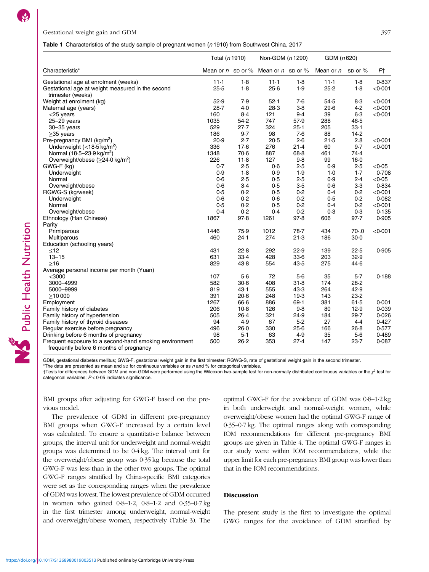Public Health Nutrition

# Gestational weight gain and GDM 397

Table 1 Characteristics of the study sample of pregnant women (n 1910) from Southwest China, 2017

|                                                        | Total (n 1910) |         | Non-GDM (n 1290)                        |       | GDM (n620) |           |         |  |
|--------------------------------------------------------|----------------|---------|-----------------------------------------|-------|------------|-----------|---------|--|
| Characteristic*                                        |                |         | Mean or $n$ sp or % Mean or $n$ sp or % |       | Mean or n  | SD or $%$ | Pt      |  |
| Gestational age at enrolment (weeks)                   | $11-1$         | 1.8     | $11-1$                                  | 1.8   | $11-1$     | 1.8       | 0.837   |  |
| Gestational age at weight measured in the second       | 25.5           | 1.8     | 25.6                                    | 1.9   | 25.2       | 1.8       | < 0.001 |  |
| trimester (weeks)                                      |                |         |                                         |       |            |           |         |  |
| Weight at enrolment (kg)                               | 52.9           | 7.9     | 52.1                                    | 7.6   | 54.5       | 8.3       | < 0.001 |  |
| Maternal age (years)                                   | 28.7           | 4.0     | 28.3                                    | $3-8$ | 29.6       | 4.2       | < 0.001 |  |
| $<$ 25 years                                           | 160            | 8.4     | 121                                     | 9.4   | 39         | $6-3$     | < 0.001 |  |
| $25 - 29$ years                                        | 1035           | 54.2    | 747                                     | 57.9  | 288        | 46.5      |         |  |
| $30 - 35$ years                                        | 529            | 27.7    | 324                                     | 25.1  | 205        | 33.1      |         |  |
| $\geq$ 35 years                                        | 186            | 9.7     | 98                                      | 7.6   | 88         | 14.2      |         |  |
| Pre-pregnancy BMI (kg/m <sup>2</sup> )                 | 20.9           | 2.7     | 20.5                                    | 2.6   | 21.5       | 2.8       | < 0.001 |  |
| Underweight $(<$ 18.5 kg/m <sup>2</sup> )              | 336            | 17.6    | 276                                     | 21.4  | 60         | 9.7       | < 0.001 |  |
| Normal $(18.5 - 23.9 \text{ kg/m}^2)$                  | 1348           | 70.6    | 887                                     | 68.8  | 461        | 74.4      |         |  |
| Overweight/obese $(\geq 24.0 \text{ kg/m}^2)$          | 226            | 11.8    | 127                                     | 9.8   | 99         | 16.0      |         |  |
| GWG-F (kg)                                             | 0.7            | 2.5     | 0.6                                     | 2.5   | 0.9        | 2.5       | < 0.05  |  |
| Underweight                                            | 0.9            | 1.8     | 0.9                                     | 1.9   | $1-0$      | 1.7       | 0.708   |  |
| Normal                                                 | 0.6            | 2.5     | 0.5                                     | 2.5   | 0.9        | 2.4       | < 0.05  |  |
| Overweight/obese                                       | 0.6            | 3.4     | 0.5                                     | 3.5   | 0.6        | 3.3       | 0.834   |  |
| RGWG-S (kg/week)                                       | 0.5            | 0.2     | 0.5                                     | 0.2   | 0.4        | 0.2       | < 0.001 |  |
| Underweight                                            | 0.6            | 0.2     | 0.6                                     | 0.2   | 0.5        | 0.2       | 0.082   |  |
| Normal                                                 | 0.5            | 0.2     | 0.5                                     | 0.2   | 0.4        | 0.2       | < 0.001 |  |
| Overweight/obese                                       | 0.4            | 0.2     | 0.4                                     | 0.2   | 0.3        | 0.3       | 0.135   |  |
| Ethnology (Han Chinese)                                | 1867           | 97.8    | 1261                                    | 97.8  | 606        | 97.7      | 0.905   |  |
| Parity                                                 |                |         |                                         |       |            |           |         |  |
| Primiparous                                            | 1446           | 75.9    | 1012                                    | 78.7  | 434        | 70.0      | < 0.001 |  |
| Multiparous                                            | 460            | 24.1    | 274                                     | 21.3  | 186        | 30.0      |         |  |
| Education (schooling years)                            |                |         |                                         |       |            |           |         |  |
| $\leq12$                                               | 431            | 22.8    | 292                                     | 22.9  | 139        | 22.5      | 0.905   |  |
| $13 - 15$                                              | 631            | 33.4    | 428                                     | 33.6  | 203        | 32.9      |         |  |
| $\geq$ 16                                              | 829            | 43.8    | 554                                     | 43.5  | 275        | 44.6      |         |  |
| Average personal income per month (Yuan)               |                |         |                                         |       |            |           |         |  |
| $<$ 3000                                               | 107            | 5.6     | 72                                      | $5-6$ | 35         | $5-7$     | 0.188   |  |
| 3000-4999                                              | 582            | 30.6    | 408                                     | 31.8  | 174        | 28.2      |         |  |
| 5000-9999                                              | 819            | 43.1    | 555                                     | 43.3  | 264        | 42.9      |         |  |
| >10000                                                 | 391            | 20.6    | 248                                     | 19.3  | 143        | 23.2      |         |  |
| Employment                                             | 1267           | 66.6    | 886                                     | 69.1  | 381        | 61.5      | 0.001   |  |
| Family history of diabetes                             | 206            | $10-8$  | 126                                     | 9.8   | 80         | 12.9      | 0.039   |  |
| Family history of hypertension                         | 505            | 26.4    | 321                                     | 24.9  | 184        | 29.7      | 0.026   |  |
| Family history of thyroid diseases                     | 94             | 4.9     | 67                                      | 5.2   | 27         | 4.4       | 0.427   |  |
| Regular exercise before pregnancy                      | 496            | 26.0    | 330                                     | 25.6  | 166        | 26.8      | 0.577   |  |
| Drinking before 6 months of pregnancy                  | 98             | $5 - 1$ | 63                                      | 4.9   | 35         | 5.6       | 0.489   |  |
| Frequent exposure to a second-hand smoking environment | 500            | 26.2    | 353                                     | 27.4  | 147        | 23.7      | 0.087   |  |
| frequently before 6 months of pregnancy                |                |         |                                         |       |            |           |         |  |

GDM, gestational diabetes mellitus; GWG-F, gestational weight gain in the first trimester; RGWG-S, rate of gestational weight gain in the second trimester.

\*The data are presented as mean and sp for continuous variables or as n and % for categorical variables.

†Tests for differences between GDM and non-GDM were performed using the Wilcoxon two-sample test for non-normally distributed continuous variables or the  $y^2$  test for categorical variables; P < 0·05 indicates significance.

BMI groups after adjusting for GWG-F based on the previous model.

The prevalence of GDM in different pre-pregnancy BMI groups when GWG-F increased by a certain level was calculated. To ensure a quantitative balance between groups, the interval unit for underweight and normal-weight groups was determined to be 0·4 kg. The interval unit for the overweight/obese group was 0·35 kg because the total GWG-F was less than in the other two groups. The optimal GWG-F ranges stratified by China-specific BMI categories were set as the corresponding ranges when the prevalence of GDM was lowest. The lowest prevalence of GDM occurred in women who gained 0·8–1·2, 0·8–1·2 and 0·35–0·7 kg in the first trimester among underweight, normal-weight and overweight/obese women, respectively (Table 3). The

optimal GWG-F for the avoidance of GDM was 0·8–1·2 kg in both underweight and normal-weight women, while overweight/obese women had the optimal GWG-F range of 0·35–0·7 kg. The optimal ranges along with corresponding IOM recommendations for different pre-pregnancy BMI groups are given in Table 4. The optimal GWG-F ranges in our study were within IOM recommendations, while the upper limit for each pre-pregnancy BMI group was lower than that in the IOM recommendations.

#### Discussion

The present study is the first to investigate the optimal GWG ranges for the avoidance of GDM stratified by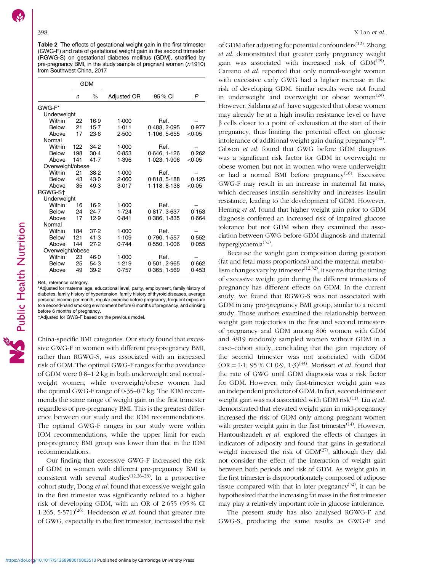Table 2 The effects of gestational weight gain in the first trimester (GWG-F) and rate of gestational weight gain in the second trimester (RGWG-S) on gestational diabetes mellitus (GDM), stratified by pre-pregnancy BMI, in the study sample of pregnant women (n 1910) from Southwest China, 2017

|                  | GDM |        |             |              |        |
|------------------|-----|--------|-------------|--------------|--------|
|                  | n   | $\%$   | Adjusted OR | 95 % CI      | P      |
| GWG-F*           |     |        |             |              |        |
| Underweight      |     |        |             |              |        |
| Within           | 22  | 16.9   | 1.000       | Ref.         |        |
| <b>Below</b>     | 21  | $15-7$ | 1.011       | 0.488, 2.095 | 0.977  |
| Above            | 17  | 23.6   | 2.500       | 1.106, 5.655 | < 0.05 |
| Normal           |     |        |             |              |        |
| Within           | 122 | 34.2   | 1.000       | Ref.         |        |
| <b>Below</b>     | 198 | $30-4$ | 0.853       | 0.646.1.126  | 0.262  |
| Above            | 141 | 41.7   | 1.396       | 1.023, 1.906 | < 0.05 |
| Overweight/obese |     |        |             |              |        |
| Within           | 21  | 38.2   | 1.000       | Ref.         |        |
| <b>Below</b>     | 43  | 43.0   | 2.060       | 0.818, 5.188 | 0.125  |
| Above            | 35  | 49.3   | 3.017       | 1.118, 8.138 | < 0.05 |
| RGWG-St          |     |        |             |              |        |
| Underweight      |     |        |             |              |        |
| Within           | 16  | 16.2   | 1.000       | Ref.         |        |
| <b>Below</b>     | 24  | 24.7   | 1.724       | 0.817, 3.637 | 0.153  |
| Above            | 17  | 12.9   | 0.841       | 0.386, 1.835 | 0.664  |
| Normal           |     |        |             |              |        |
| Within           | 184 | 37.2   | 1.000       | Ref.         |        |
| <b>Below</b>     | 121 | 41.3   | 1.109       | 0.790.1.557  | 0.552  |
| Above            | 144 | 27.2   | 0.744       | 0.550, 1.006 | 0.055  |
| Overweight/obese |     |        |             |              |        |
| Within           | 23  | 46.0   | 1.000       | Ref.         |        |
| <b>Below</b>     | 25  | 54.3   | 1.219       | 0.501, 2.965 | 0.662  |
| Above            | 49  | 39.2   | 0.757       | 0.365, 1.569 | 0.453  |
|                  |     |        |             |              |        |

Ref., reference category.

\*Adjusted for maternal age, educational level, parity, employment, family history of diabetes, family history of hypertension, family history of thyroid diseases, average personal income per month, regular exercise before pregnancy, frequent exposure to a second-hand smoking environment before 6 months of pregnancy, and drinking before 6 months of pregnancy.

†Adjusted for GWG-F based on the previous model.

China-specific BMI categories. Our study found that excessive GWG-F in women with different pre-pregnancy BMI, rather than RGWG-S, was associated with an increased risk of GDM. The optimal GWG-F ranges for the avoidance of GDM were 0·8–1·2 kg in both underweight and normalweight women, while overweight/obese women had the optimal GWG-F range of 0·35–0·7 kg. The IOM recommends the same range of weight gain in the first trimester regardless of pre-pregnancy BMI. This is the greatest difference between our study and the IOM recommendations. The optimal GWG-F ranges in our study were within IOM recommendations, while the upper limit for each pre-pregnancy BMI group was lower than that in the IOM recommendations.

Our finding that excessive GWG-F increased the risk of GDM in women with different pre-pregnancy BMI is consistent with several studies(12,26–28). In a prospective cohort study, Dong et al. found that excessive weight gain in the first trimester was significantly related to a higher risk of developing GDM, with an OR of 2·655 (95 % CI 1.265, 5.571)<sup>(26)</sup>. Hedderson *et al*. found that greater rate of GWG, especially in the first trimester, increased the risk

of GDM after adjusting for potential confounders<sup>(12)</sup>. Zhong et al. demonstrated that greater early pregnancy weight gain was associated with increased risk of  $GDM^{(28)}$ . Carreno et al. reported that only normal-weight women with excessive early GWG had a higher increase in the risk of developing GDM. Similar results were not found in underweight and overweight or obese women<sup> $(29)$ </sup>. However, Saldana et al. have suggested that obese women may already be at a high insulin resistance level or have β cells closer to a point of exhaustion at the start of their pregnancy, thus limiting the potential effect on glucose intolerance of additional weight gain during pregnancy $(30)$ . Gibson et al. found that GWG before GDM diagnosis was a significant risk factor for GDM in overweight or obese women but not in women who were underweight or had a normal BMI before pregnancy $(16)$ . Excessive GWG-F may result in an increase in maternal fat mass, which decreases insulin sensitivity and increases insulin resistance, leading to the development of GDM. However, Herring et al. found that higher weight gain prior to GDM diagnosis conferred an increased risk of impaired glucose tolerance but not GDM when they examined the association between GWG before GDM diagnosis and maternal hyperglycaemia<sup>(31)</sup>.

Because the weight gain composition during gestation (fat and fetal mass proportions) and the maternal metabolism changes vary by trimester<sup> $(12,32)$ </sup>, it seems that the timing of excessive weight gain during the different trimesters of pregnancy has different effects on GDM. In the current study, we found that RGWG-S was not associated with GDM in any pre-pregnancy BMI group, similar to a recent study. Those authors examined the relationship between weight gain trajectories in the first and second trimesters of pregnancy and GDM among 806 women with GDM and 4819 randomly sampled women without GDM in a case–cohort study, concluding that the gain trajectory of the second trimester was not associated with GDM (OR = 1.1; 95 % CI 0.9, 1.3)<sup>(33)</sup>. Morisset *et al.* found that the rate of GWG until GDM diagnosis was a risk factor for GDM. However, only first-trimester weight gain was an independent predictor of GDM. In fact, second-trimester weight gain was not associated with GDM risk $(11)$ . Liu *et al.* demonstrated that elevated weight gain in mid-pregnancy increased the risk of GDM only among pregnant women with greater weight gain in the first trimester $(14)$ . However, Hantoushzadeh et al. explored the effects of changes in indicators of adiposity and found that gains in gestational weight increased the risk of GDM<sup>(27)</sup>, although they did not consider the effect of the interaction of weight gain between both periods and risk of GDM. As weight gain in the first trimester is disproportionately composed of adipose tissue compared with that in later pregnancy<sup>(32)</sup>, it can be hypothesized that the increasing fat mass in the first trimester may play a relatively important role in glucose intolerance.

The present study has also analysed RGWG-F and GWG-S, producing the same results as GWG-F and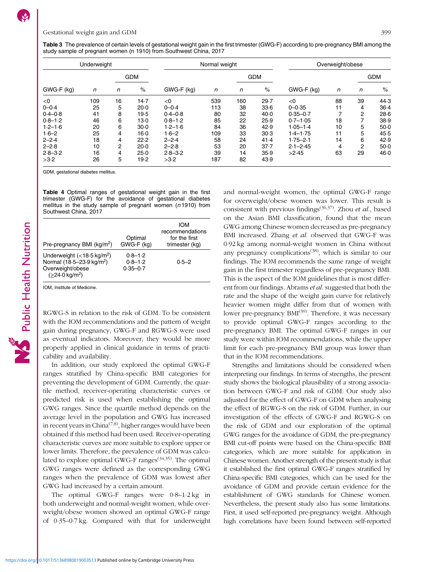#### Gestational weight gain and GDM 399

Table 3 The prevalence of certain levels of gestational weight gain in the first trimester (GWG-F) according to pre-pregnancy BMI among the study sample of pregnant women (n 1910) from Southwest China, 2017

| Underweight |     |            | Normal weight |             |     | Overweight/obese |      |              |    |            |        |
|-------------|-----|------------|---------------|-------------|-----|------------------|------|--------------|----|------------|--------|
|             |     | <b>GDM</b> |               |             |     | <b>GDM</b>       |      |              |    | <b>GDM</b> |        |
| GWG-F (kg)  | n   | n          | $\%$          | GWG-F (kg)  | n   | n                | $\%$ | GWG-F (kg)   | n  | n          | $\%$   |
| < 0         | 109 | 16         | 14.7          | < 0         | 539 | 160              | 29.7 | < 0          | 88 | 39         | 44.3   |
| $0 - 0.4$   | 25  | 5          | 20.0          | $0 - 0.4$   | 113 | 38               | 33.6 | $0 - 0.35$   | 11 | 4          | $36-4$ |
| $0.4 - 0.8$ | 41  | 8          | 19.5          | $0.4 - 0.8$ | 80  | 32               | 40.0 | $0.35 - 0.7$ |    | 2          | 28.6   |
| $0.8 - 1.2$ | 46  | 6          | 13.0          | $0.8 - 1.2$ | 85  | 22               | 25.9 | $0.7 - 1.05$ | 18 | ⇁          | 38.9   |
| $1.2 - 1.6$ | 20  | 6          | $30-0$        | $1.2 - 1.6$ | 84  | 36               | 42.9 | $1.05 - 1.4$ | 10 | 5          | $50-0$ |
| $1.6 - 2$   | 25  | 4          | $16 - 0$      | $1.6 - 2$   | 109 | 33               | 30.3 | $1.4 - 1.75$ | 11 | 5          | 45.5   |
| $2 - 2.4$   | 18  | 4          | 22.2          | $2 - 2.4$   | 58  | 24               | 41.4 | $1.75 - 2.1$ | 14 | 6          | 42.9   |
| $2 - 2.8$   | 10  | 2          | 20.0          | $2 - 2.8$   | 53  | 20               | 37.7 | $2.1 - 2.45$ | 4  | 2          | $50-0$ |
| $2.8 - 3.2$ | 16  | 4          | 25.0          | $2.8 - 3.2$ | 39  | 14               | 35.9 | >2.45        | 63 | 29         | 46.0   |
| >3.2        | 26  | 5          | 19.2          | >3.2        | 187 | 82               | 43.9 |              |    |            |        |

GDM, gestational diabetes mellitus.

Table 4 Optimal ranges of gestational weight gain in the first trimester (GWG-F) for the avoidance of gestational diabetes mellitus in the study sample of pregnant women  $(n 1910)$  from Southwest China, 2017

| Pre-pregnancy BMI (kg/m <sup>2</sup> )                                                                                               | Optimal<br>GWG-F (kg)                      | <b>IOM</b><br>recommendations<br>for the first<br>trimester (kg) |
|--------------------------------------------------------------------------------------------------------------------------------------|--------------------------------------------|------------------------------------------------------------------|
| Underweight $(<$ 18.5 kg/m <sup>2</sup> )<br>Normal (18-5-23-9 kg/m <sup>2</sup> )<br>Overweight/obese<br>(≥24.0 kg/m <sup>2</sup> ) | $0.8 - 1.2$<br>$0.8 - 1.2$<br>$0.35 - 0.7$ | $0.5 - 2$                                                        |

IOM, Institute of Medicine.

Public Health Nutrition

RGWG-S in relation to the risk of GDM. To be consistent with the IOM recommendations and the pattern of weight gain during pregnancy, GWG-F and RGWG-S were used as eventual indicators. Moreover, they would be more properly applied in clinical guidance in terms of practicability and availability.

In addition, our study explored the optimal GWG-F ranges stratified by China-specific BMI categories for preventing the development of GDM. Currently, the quartile method, receiver-operating characteristic curves or predicted risk is used when establishing the optimal GWG ranges. Since the quartile method depends on the average level in the population and GWG has increased in recent years in China<sup> $(7,8)$ </sup>, higher ranges would have been obtained if this method had been used. Receiver-operating characteristic curves are more suitable to explore upper or lower limits. Therefore, the prevalence of GDM was calculated to explore optimal GWG-F ranges<sup>(34,35)</sup>. The optimal GWG ranges were defined as the corresponding GWG ranges when the prevalence of GDM was lowest after GWG had increased by a certain amount.

The optimal GWG-F ranges were 0·8–1·2 kg in both underweight and normal-weight women, while overweight/obese women showed an optimal GWG-F range of 0·35–0·7 kg. Compared with that for underweight and normal-weight women, the optimal GWG-F range for overweight/obese women was lower. This result is consistent with previous findings<sup> $(36,37)$ </sup>. Zhou *et al.*, based on the Asian BMI classification, found that the mean GWG among Chinese women decreased as pre-pregnancy BMI increased. Zhang et al. observed that GWG-F was 0·92 kg among normal-weight women in China without any pregnancy complications<sup>(38)</sup>, which is similar to our findings. The IOM recommends the same range of weight gain in the first trimester regardless of pre-pregnancy BMI. This is the aspect of the IOM guidelines that is most different from our findings. Abrams et al. suggested that both the rate and the shape of the weight gain curve for relatively heavier women might differ from that of women with lower pre-pregnancy BMI<sup>(39)</sup>. Therefore, it was necessary to provide optimal GWG-F ranges according to the pre-pregnancy BMI. The optimal GWG-F ranges in our study were within IOM recommendations, while the upper limit for each pre-pregnancy BMI group was lower than that in the IOM recommendations.

Strengths and limitations should be considered when interpreting our findings. In terms of strengths, the present study shows the biological plausibility of a strong association between GWG-F and risk of GDM. Our study also adjusted for the effect of GWG-F on GDM when analysing the effect of RGWG-S on the risk of GDM. Further, in our investigation of the effects of GWG-F and RGWG-S on the risk of GDM and our exploration of the optimal GWG ranges for the avoidance of GDM, the pre-pregnancy BMI cut-off points were based on the China-specific BMI categories, which are more suitable for application in Chinese women. Another strength of the present study is that it established the first optimal GWG-F ranges stratified by China-specific BMI categories, which can be used for the avoidance of GDM and provide certain evidence for the establishment of GWG standards for Chinese women. Nevertheless, the present study also has some limitations. First, it used self-reported pre-pregnancy weight. Although high correlations have been found between self-reported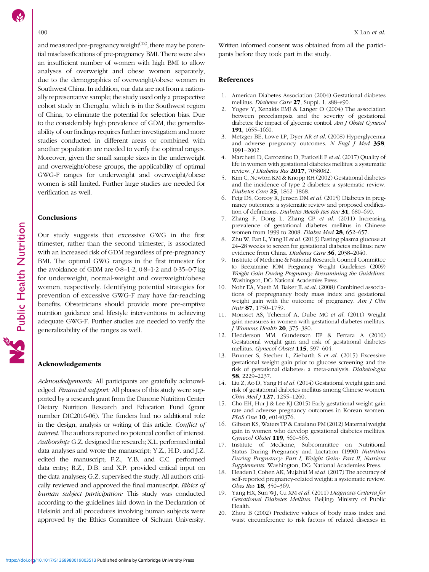and measured pre-pregnancy weight $(12)$ , there may be potential misclassifications of pre-pregnancy BMI. There were also an insufficient number of women with high BMI to allow analyses of overweight and obese women separately, due to the demographics of overweight/obese women in Southwest China. In addition, our data are not from a nationally representative sample; the study used only a prospective cohort study in Chengdu, which is in the Southwest region of China, to eliminate the potential for selection bias. Due to the considerably high prevalence of GDM, the generalizability of our findings requires further investigation and more studies conducted in different areas or combined with another population are needed to verify the optimal ranges. Moreover, given the small sample sizes in the underweight and overweight/obese groups, the applicability of optimal GWG-F ranges for underweight and overweight/obese women is still limited. Further large studies are needed for verification as well.

#### Conclusions

Our study suggests that excessive GWG in the first trimester, rather than the second trimester, is associated with an increased risk of GDM regardless of pre-pregnancy BMI. The optimal GWG ranges in the first trimester for the avoidance of GDM are 0·8–1·2, 0·8–1·2 and 0·35–0·7 kg for underweight, normal-weight and overweight/obese women, respectively. Identifying potential strategies for prevention of excessive GWG-F may have far-reaching benefits. Obstetricians should provide more pre-emptive nutrition guidance and lifestyle interventions in achieving adequate GWG-F. Further studies are needed to verify the generalizability of the ranges as well.

## Acknowledgements

Acknowledgements: All participants are gratefully acknowledged. Financial support: All phases of this study were supported by a research grant from the Danone Nutrition Center Dietary Nutrition Research and Education Fund (grant number DIC2016-06). The funders had no additional role in the design, analysis or writing of this article. Conflict of interest: The authors reported no potential conflict of interest. Authorship: G.Z. designed the research; X.L. performed initial data analyses and wrote the manuscript; Y.Z., H.D. and J.Z. edited the manuscript; F.Z., Y.B. and C.C. performed data entry; R.Z., D.B. and X.P. provided critical input on the data analyses; G.Z. supervised the study. All authors critically reviewed and approved the final manuscript. Ethics of human subject participation: This study was conducted according to the guidelines laid down in the Declaration of Helsinki and all procedures involving human subjects were approved by the Ethics Committee of Sichuan University.

Written informed consent was obtained from all the participants before they took part in the study.

# References

- 1. American Diabetes Association (2004) Gestational diabetes mellitus. Diabetes Care 27, Suppl. 1, s88-s90.
- 2. Yogev Y, Xenakis EMJ & Langer O (2004) The association between preeclampsia and the severity of gestational diabetes: the impact of glycemic control. Am J Obstet Gynecol 191, 1655–1660.
- 3. Metzger BE, Lowe LP, Dyer AR et al. (2008) Hyperglycemia and adverse pregnancy outcomes.  $N$  Engl J Med  $358$ , 1991–2002.
- 4. Marchetti D, Carrozzino D, Fraticelli F et al. (2017) Quality of life in women with gestational diabetes mellitus: a systematic review. J Diabetes Res 2017, 7058082.
- 5. Kim C, Newton KM & Knopp RH (2002) Gestational diabetes and the incidence of type 2 diabetes: a systematic review. Diabetes Care 25, 1862–1868.
- 6. Feig DS, Corcoy R, Jensen DM et al. (2015) Diabetes in pregnancy outcomes: a systematic review and proposed codification of definitions. Diabetes Metab Res Rev 31, 680-690.
- 7. Zhang F, Dong L, Zhang CP et al. (2011) Increasing prevalence of gestational diabetes mellitus in Chinese women from 1999 to 2008. Diabet Med 28, 652–657.
- Zhu W, Fan L, Yang H et al. (2013) Fasting plasma glucose at 24–28 weeks to screen for gestational diabetes mellitus: new evidence from China. Diabetes Care 36, 2038-2040.
- 9. Institute of Medicine & National Research Council Committee to Reexamine IOM Pregnancy Weight Guidelines (2009) Weight Gain During Pregnancy: Reexamining the Guidelines. Washington, DC: National Academies Press.
- 10. Nohr EA, Vaeth M, Baker JL et al. (2008) Combined associations of prepregnancy body mass index and gestational weight gain with the outcome of pregnancy. Am J Clin Nutr 87, 1750–1759.
- 11. Morisset AS, Tchernof A, Dube MC et al. (2011) Weight gain measures in women with gestational diabetes mellitus. J Womens Health 20, 375–380.
- 12. Hedderson MM, Gunderson EP & Ferrara A (2010) Gestational weight gain and risk of gestational diabetes mellitus. Gynecol Obstet 115, 597-604.
- 13. Brunner S, Stecher L, Ziebarth S et al. (2015) Excessive gestational weight gain prior to glucose screening and the risk of gestational diabetes: a meta-analysis. Diabetologia 58, 2229–2237.
- 14. Liu Z, Ao D, Yang H et al. (2014) Gestational weight gain and risk of gestational diabetes mellitus among Chinese women. Chin Med J 127, 1255-1260.
- 15. Cho EH, Hur J & Lee KJ (2015) Early gestational weight gain rate and adverse pregnancy outcomes in Korean women. PLoS One 10, e0140376.
- 16. Gibson KS, Waters TP & Catalano PM (2012) Maternal weight gain in women who develop gestational diabetes mellitus. Gynecol Obstet 119, 560–565.
- 17. Institute of Medicine, Subcommittee on Nutritional Status During Pregnancy and Lactation (1990) Nutrition During Pregnancy: Part I, Weight Gain: Part II, Nutrient Supplements. Washington, DC: National Academies Press.
- 18. Headen I, Cohen AK, Mujahid M et al. (2017) The accuracy of self-reported pregnancy-related weight: a systematic review. Obes Rev 18, 350–369.
- 19. Yang HX, Sun WJ, Cu XM et al. (2011) Diagnosis Criteria for Gestational Diabetes Mellitus. Beijing: Ministry of Public Health.
- 20. Zhou B (2002) Predictive values of body mass index and waist circumference to risk factors of related diseases in